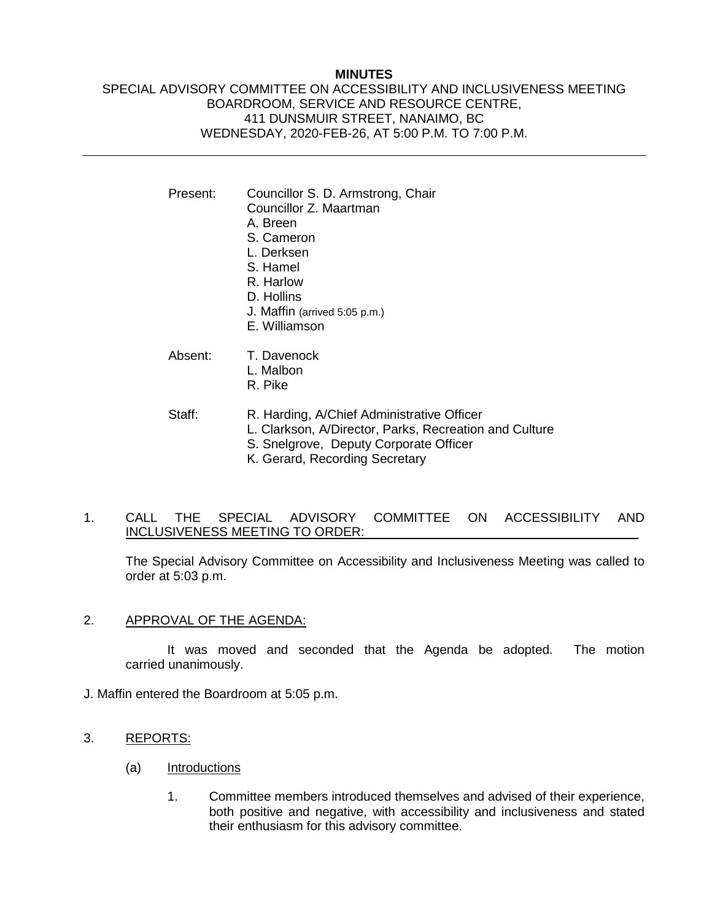### **MINUTES**

# SPECIAL ADVISORY COMMITTEE ON ACCESSIBILITY AND INCLUSIVENESS MEETING BOARDROOM, SERVICE AND RESOURCE CENTRE, 411 DUNSMUIR STREET, NANAIMO, BC WEDNESDAY, 2020-FEB-26, AT 5:00 P.M. TO 7:00 P.M.

| Present: | Councillor S. D. Armstrong, Chair<br>Councillor Z. Maartman<br>A. Breen<br>S. Cameron<br>L. Derksen<br>S. Hamel<br>R. Harlow<br>D. Hollins<br>J. Maffin (arrived 5:05 p.m.)<br>E. Williamson |
|----------|----------------------------------------------------------------------------------------------------------------------------------------------------------------------------------------------|
| Absent:  | T. Davenock<br>L. Malbon<br>R. Pike                                                                                                                                                          |
| Staff:   | R. Harding, A/Chief Administrative Officer<br>L. Clarkson, A/Director, Parks, Recreation and Culture<br>S. Snelgrove, Deputy Corporate Officer<br>K. Gerard, Recording Secretary             |

1. CALL THE SPECIAL ADVISORY COMMITTEE ON ACCESSIBILITY AND INCLUSIVENESS MEETING TO ORDER:

The Special Advisory Committee on Accessibility and Inclusiveness Meeting was called to order at 5:03 p.m.

2. APPROVAL OF THE AGENDA:

It was moved and seconded that the Agenda be adopted. The motion carried unanimously.

- J. Maffin entered the Boardroom at 5:05 p.m.
- 3. REPORTS:
	- (a) Introductions
		- 1. Committee members introduced themselves and advised of their experience, both positive and negative, with accessibility and inclusiveness and stated their enthusiasm for this advisory committee.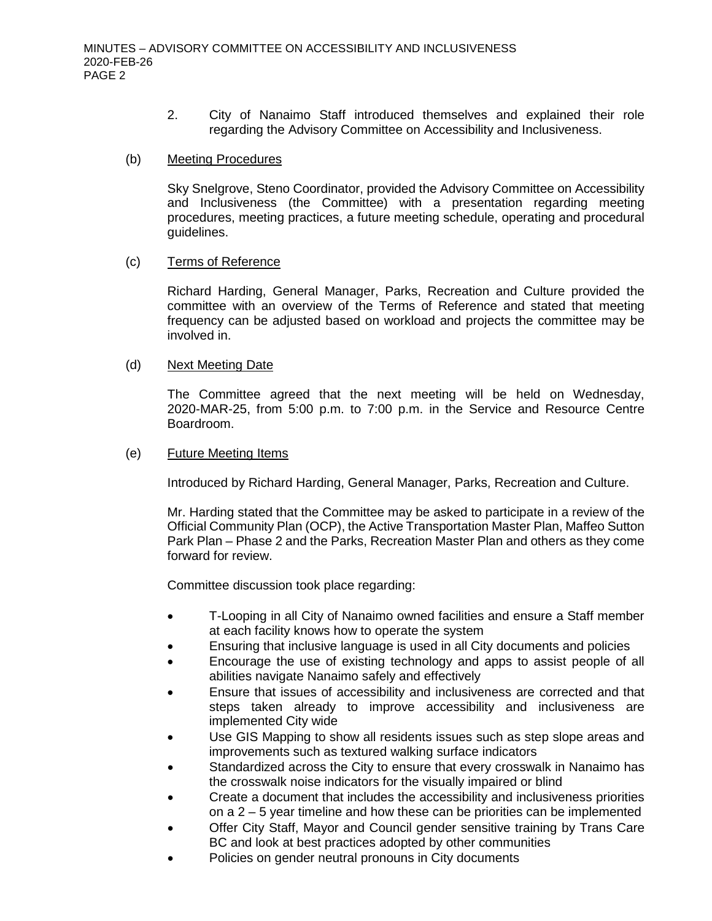2. City of Nanaimo Staff introduced themselves and explained their role regarding the Advisory Committee on Accessibility and Inclusiveness.

## (b) Meeting Procedures

Sky Snelgrove, Steno Coordinator, provided the Advisory Committee on Accessibility and Inclusiveness (the Committee) with a presentation regarding meeting procedures, meeting practices, a future meeting schedule, operating and procedural guidelines.

#### (c) Terms of Reference

Richard Harding, General Manager, Parks, Recreation and Culture provided the committee with an overview of the Terms of Reference and stated that meeting frequency can be adjusted based on workload and projects the committee may be involved in.

### (d) Next Meeting Date

The Committee agreed that the next meeting will be held on Wednesday, 2020-MAR-25, from 5:00 p.m. to 7:00 p.m. in the Service and Resource Centre Boardroom.

### (e) Future Meeting Items

Introduced by Richard Harding, General Manager, Parks, Recreation and Culture.

Mr. Harding stated that the Committee may be asked to participate in a review of the Official Community Plan (OCP), the Active Transportation Master Plan, Maffeo Sutton Park Plan – Phase 2 and the Parks, Recreation Master Plan and others as they come forward for review.

Committee discussion took place regarding:

- T-Looping in all City of Nanaimo owned facilities and ensure a Staff member at each facility knows how to operate the system
- Ensuring that inclusive language is used in all City documents and policies
- Encourage the use of existing technology and apps to assist people of all abilities navigate Nanaimo safely and effectively
- Ensure that issues of accessibility and inclusiveness are corrected and that steps taken already to improve accessibility and inclusiveness are implemented City wide
- Use GIS Mapping to show all residents issues such as step slope areas and improvements such as textured walking surface indicators
- Standardized across the City to ensure that every crosswalk in Nanaimo has the crosswalk noise indicators for the visually impaired or blind
- Create a document that includes the accessibility and inclusiveness priorities on a 2 – 5 year timeline and how these can be priorities can be implemented
- Offer City Staff, Mayor and Council gender sensitive training by Trans Care BC and look at best practices adopted by other communities
- Policies on gender neutral pronouns in City documents